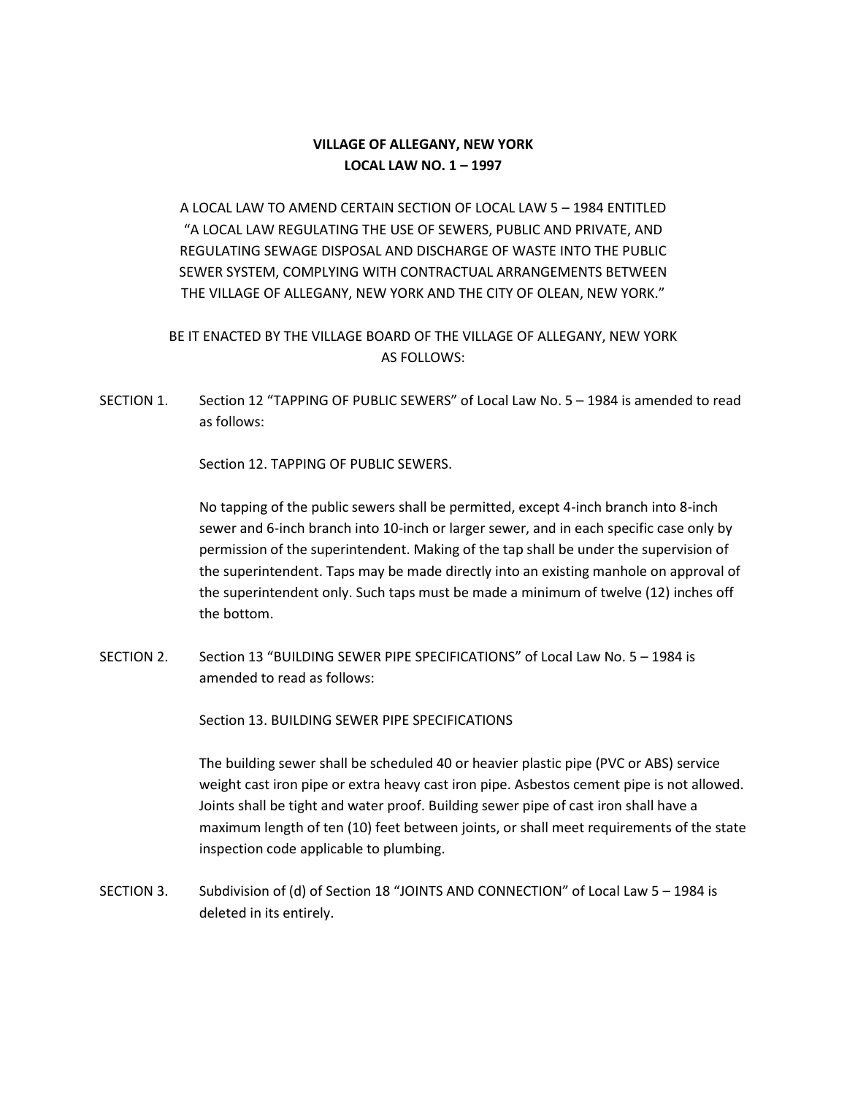## **VILLAGE OF ALLEGANY, NEW YORK LOCAL LAW NO. 1 – 1997**

A LOCAL LAW TO AMEND CERTAIN SECTION OF LOCAL LAW 5 – 1984 ENTITLED "A LOCAL LAW REGULATING THE USE OF SEWERS, PUBLIC AND PRIVATE, AND REGULATING SEWAGE DISPOSAL AND DISCHARGE OF WASTE INTO THE PUBLIC SEWER SYSTEM, COMPLYING WITH CONTRACTUAL ARRANGEMENTS BETWEEN THE VILLAGE OF ALLEGANY, NEW YORK AND THE CITY OF OLEAN, NEW YORK."

## BE IT ENACTED BY THE VILLAGE BOARD OF THE VILLAGE OF ALLEGANY, NEW YORK AS FOLLOWS:

SECTION 1. Section 12 "TAPPING OF PUBLIC SEWERS" of Local Law No. 5 – 1984 is amended to read as follows:

Section 12. TAPPING OF PUBLIC SEWERS.

No tapping of the public sewers shall be permitted, except 4-inch branch into 8-inch sewer and 6-inch branch into 10-inch or larger sewer, and in each specific case only by permission of the superintendent. Making of the tap shall be under the supervision of the superintendent. Taps may be made directly into an existing manhole on approval of the superintendent only. Such taps must be made a minimum of twelve (12) inches off the bottom.

SECTION 2. Section 13 "BUILDING SEWER PIPE SPECIFICATIONS" of Local Law No. 5 – 1984 is amended to read as follows:

Section 13. BUILDING SEWER PIPE SPECIFICATIONS

The building sewer shall be scheduled 40 or heavier plastic pipe (PVC or ABS) service weight cast iron pipe or extra heavy cast iron pipe. Asbestos cement pipe is not allowed. Joints shall be tight and water proof. Building sewer pipe of cast iron shall have a maximum length of ten (10) feet between joints, or shall meet requirements of the state inspection code applicable to plumbing.

SECTION 3. Subdivision of (d) of Section 18 "JOINTS AND CONNECTION" of Local Law 5 – 1984 is deleted in its entirely.